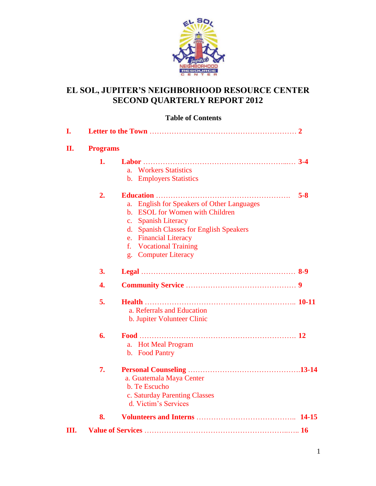

### **EL SOL, JUPITER'S NEIGHBORHOOD RESOURCE CENTER SECOND QUARTERLY REPORT 2012**

#### **Table of Contents**

| I. |                 |                                                      |
|----|-----------------|------------------------------------------------------|
| П. | <b>Programs</b> |                                                      |
|    | 1.              |                                                      |
|    |                 | a. Workers Statistics                                |
|    |                 | <b>b.</b> Employers Statistics                       |
|    | 2.              | $5 - 8$                                              |
|    |                 | <b>English for Speakers of Other Languages</b><br>a. |
|    |                 | <b>ESOL</b> for Women with Children<br>$h_{-}$       |
|    |                 | <b>Spanish Literacy</b><br>$\mathbf{c}$ .            |
|    |                 | <b>Spanish Classes for English Speakers</b><br>d.    |
|    |                 | <b>Financial Literacy</b><br>$e_{\cdot}$             |
|    |                 | f. Vocational Training                               |
|    |                 | g. Computer Literacy                                 |
|    | 3.              |                                                      |
|    | 4.              |                                                      |
|    | 5.              |                                                      |
|    |                 | a. Referrals and Education                           |
|    |                 | b. Jupiter Volunteer Clinic                          |
|    | 6.              |                                                      |
|    |                 | a. Hot Meal Program                                  |
|    |                 | b. Food Pantry                                       |
|    | 7.              |                                                      |
|    |                 | a. Guatemala Maya Center                             |
|    |                 | b. Te Escucho                                        |
|    |                 | c. Saturday Parenting Classes                        |
|    |                 | d. Victim's Services                                 |
|    | 8.              |                                                      |
| Ш. |                 |                                                      |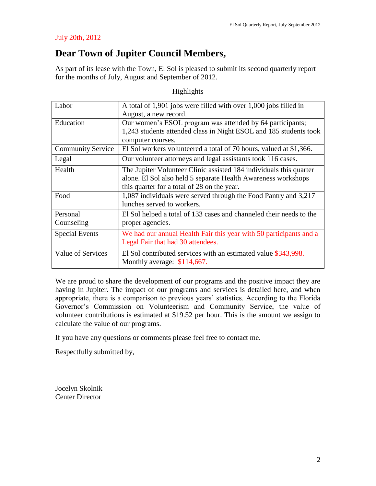#### July 20th, 2012

## **Dear Town of Jupiter Council Members,**

As part of its lease with the Town, El Sol is pleased to submit its second quarterly report for the months of July, August and September of 2012.

| Labor                    | A total of 1,901 jobs were filled with over 1,000 jobs filled in    |
|--------------------------|---------------------------------------------------------------------|
|                          | August, a new record.                                               |
| Education                | Our women's ESOL program was attended by 64 participants;           |
|                          | 1,243 students attended class in Night ESOL and 185 students took   |
|                          | computer courses.                                                   |
| <b>Community Service</b> | El Sol workers volunteered a total of 70 hours, valued at \$1,366.  |
| Legal                    | Our volunteer attorneys and legal assistants took 116 cases.        |
| Health                   | The Jupiter Volunteer Clinic assisted 184 individuals this quarter  |
|                          | alone. El Sol also held 5 separate Health Awareness workshops       |
|                          | this quarter for a total of 28 on the year.                         |
| Food                     | 1,087 individuals were served through the Food Pantry and 3,217     |
|                          | lunches served to workers.                                          |
| Personal                 | El Sol helped a total of 133 cases and channeled their needs to the |
| Counseling               | proper agencies.                                                    |
| <b>Special Events</b>    | We had our annual Health Fair this year with 50 participants and a  |
|                          | Legal Fair that had 30 attendees.                                   |
| Value of Services        | El Sol contributed services with an estimated value \$343,998.      |
|                          | Monthly average: $$114,667$ .                                       |

Highlights

We are proud to share the development of our programs and the positive impact they are having in Jupiter. The impact of our programs and services is detailed here, and when appropriate, there is a comparison to previous years' statistics. According to the Florida Governor's Commission on Volunteerism and Community Service, the value of volunteer contributions is estimated at \$19.52 per hour. This is the amount we assign to calculate the value of our programs.

If you have any questions or comments please feel free to contact me.

Respectfully submitted by,

Jocelyn Skolnik Center Director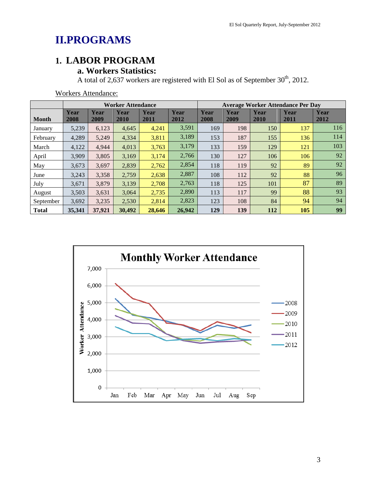# **II.PROGRAMS**

## **1. LABOR PROGRAM**

## **a. Workers Statistics:**

A total of 2,637 workers are registered with El Sol as of September  $30<sup>th</sup>$ , 2012.

|              |              |              | <b>Worker Attendance</b> |              |              | <b>Average Worker Attendance Per Day</b> |              |              |              |              |
|--------------|--------------|--------------|--------------------------|--------------|--------------|------------------------------------------|--------------|--------------|--------------|--------------|
| <b>Month</b> | Year<br>2008 | Year<br>2009 | Year<br>2010             | Year<br>2011 | Year<br>2012 | Year<br>2008                             | Year<br>2009 | Year<br>2010 | Year<br>2011 | Year<br>2012 |
| January      | 5,239        | 6,123        | 4,645                    | 4,241        | 3,591        | 169                                      | 198          | 150          | 137          | 116          |
| February     | 4,289        | 5,249        | 4,334                    | 3,811        | 3,189        | 153                                      | 187          | 155          | 136          | 114          |
| March        | 4,122        | 4.944        | 4,013                    | 3,763        | 3,179        | 133                                      | 159          | 129          | 121          | 103          |
| April        | 3,909        | 3,805        | 3,169                    | 3,174        | 2,766        | 130                                      | 127          | 106          | 106          | 92           |
| May          | 3,673        | 3,697        | 2,839                    | 2,762        | 2,854        | 118                                      | 119          | 92           | 89           | 92           |
| June         | 3,243        | 3,358        | 2,759                    | 2,638        | 2,887        | 108                                      | 112          | 92           | 88           | 96           |
| July         | 3,671        | 3,879        | 3,139                    | 2,708        | 2,763        | 118                                      | 125          | 101          | 87           | 89           |
| August       | 3,503        | 3,631        | 3.064                    | 2,735        | 2,890        | 113                                      | 117          | 99           | 88           | 93           |
| September    | 3,692        | 3,235        | 2,530                    | 2,814        | 2,823        | 123                                      | 108          | 84           | 94           | 94           |
| <b>Total</b> | 35,341       | 37,921       | 30,492                   | 28,646       | 26,942       | 129                                      | 139          | 112          | 105          | 99           |

Workers Attendance:

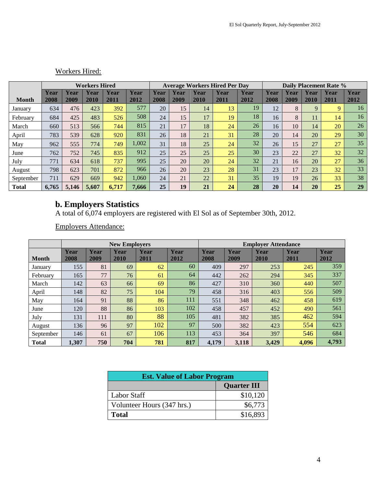|              | <b>Workers Hired</b> |       |       |       |       | <b>Average Workers Hired Per Day</b> |      |      |      | <b>Daily Placement Rate %</b> |      |      |      |             |      |
|--------------|----------------------|-------|-------|-------|-------|--------------------------------------|------|------|------|-------------------------------|------|------|------|-------------|------|
|              | Year                 | Year  | Year  | Year  | Year  | Year                                 | Year | Year | Year | Year                          | Year | Year | Year | Year        | Year |
| <b>Month</b> | 2008                 | 2009  | 2010  | 2011  | 2012  | 2008                                 | 2009 | 2010 | 2011 | 2012                          | 2008 | 2009 | 2010 | 2011        | 2012 |
| January      | 634                  | 476   | 423   | 392   | 577   | 20                                   | 15   | 14   | 13   | 19                            | 12   | 8    | 9    | $\mathbf Q$ | 16   |
| February     | 684                  | 425   | 483   | 526   | 508   | 24                                   | 15   | 17   | 19   | 18                            | 16   | 8    | 11   | 14          | 16   |
| March        | 660                  | 513   | 566   | 744   | 815   | 21                                   | 17   | 18   | 24   | 26                            | 16   | 10   | 14   | 20          | 26   |
| April        | 783                  | 539   | 628   | 920   | 831   | 26                                   | 18   | 21   | 31   | 28                            | 20   | 14   | 20   | 29          | 30   |
| May          | 962                  | 555   | 774   | 749   | 1,002 | 31                                   | 18   | 25   | 24   | 32                            | 26   | 15   | 27   | 27          | 35   |
| June         | 762                  | 752   | 745   | 835   | 912   | 25                                   | 25   | 25   | 25   | 30                            | 23   | 22   | 27   | 32          | 32   |
| July         | 771                  | 634   | 618   | 737   | 995   | 25                                   | 20   | 20   | 24   | 32                            | 21   | 16   | 20   | 27          | 36   |
| August       | 798                  | 623   | 701   | 872   | 966   | 26                                   | 20   | 23   | 28   | 31                            | 23   | 17   | 23   | 32          | 33   |
| September    | 711                  | 629   | 669   | 942   | 1,060 | 24                                   | 21   | 22   | 31   | 35                            | 19   | 19   | 26   | 33          | 38   |
| <b>Total</b> | 6.765                | 5.146 | 5,607 | 6,717 | 7.666 | 25                                   | 19   | 21   | 24   | 28                            | 20   | 14   | 20   | 25          | 29   |

#### Workers Hired:

#### **b. Employers Statistics**

A total of 6,074 employers are registered with El Sol as of September 30th, 2012.

Employers Attendance:

|              |              |              | <b>New Employers</b> |              |              | <b>Employer Attendance</b> |              |              |              |              |
|--------------|--------------|--------------|----------------------|--------------|--------------|----------------------------|--------------|--------------|--------------|--------------|
| <b>Month</b> | Year<br>2008 | Year<br>2009 | Year<br>2010         | Year<br>2011 | Year<br>2012 | Year<br>2008               | Year<br>2009 | Year<br>2010 | Year<br>2011 | Year<br>2012 |
| January      | 155          | 81           | 69                   | 62           | 60           | 409                        | 297          | 253          | 245          | 359          |
| February     | 165          | 77           | 76                   | 61           | 64           | 442                        | 262          | 294          | 345          | 337          |
| March        | 142          | 63           | 66                   | 69           | 86           | 427                        | 310          | 360          | 440          | 507          |
| April        | 148          | 82           | 75                   | 104          | 79           | 458                        | 316          | 403          | 556          | 509          |
| May          | 164          | 91           | 88                   | 86           | 111          | 551                        | 348          | 462          | 458          | 619          |
| June         | 120          | 88           | 86                   | 103          | 102          | 458                        | 457          | 452          | 490          | 561          |
| July         | 131          | 111          | 80                   | 88           | 105          | 481                        | 382          | 385          | 462          | 594          |
| August       | 136          | 96           | 97                   | 102          | 97           | 500                        | 382          | 423          | 554          | 623          |
| September    | 146          | 61           | 67                   | 106          | 113          | 453                        | 364          | 397          | 546          | 684          |
| <b>Total</b> | 1,307        | 750          | 704                  | 781          | 817          | 4,179                      | 3,118        | 3,429        | 4,096        | 4,793        |

| <b>Est. Value of Labor Program</b> |                    |  |  |  |  |
|------------------------------------|--------------------|--|--|--|--|
|                                    | <b>Quarter III</b> |  |  |  |  |
| <b>Labor Staff</b>                 | \$10,120           |  |  |  |  |
| Volunteer Hours (347 hrs.)         | \$6,773            |  |  |  |  |
| <b>Total</b>                       | \$16,893           |  |  |  |  |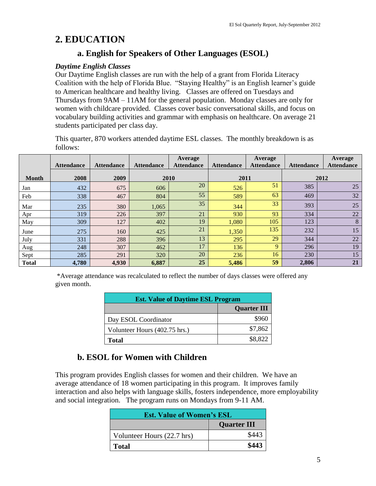## **2. EDUCATION**

## **a. English for Speakers of Other Languages (ESOL)**

#### *Daytime English Classes*

Our Daytime English classes are run with the help of a grant from Florida Literacy Coalition with the help of Florida Blue. "Staying Healthy" is an English learner's guide to American healthcare and healthy living. Classes are offered on Tuesdays and Thursdays from 9AM – 11AM for the general population. Monday classes are only for women with childcare provided. Classes cover basic conversational skills, and focus on vocabulary building activities and grammar with emphasis on healthcare. On average 21 students participated per class day.

This quarter, 870 workers attended daytime ESL classes. The monthly breakdown is as follows:

|              | <b>Attendance</b> | <b>Attendance</b> | <b>Attendance</b> | Average<br><b>Attendance</b> | <b>Attendance</b> | Average<br><b>Attendance</b> | <b>Attendance</b> | Average<br><b>Attendance</b> |
|--------------|-------------------|-------------------|-------------------|------------------------------|-------------------|------------------------------|-------------------|------------------------------|
|              |                   |                   |                   |                              |                   |                              |                   |                              |
| <b>Month</b> | 2008              | 2009              |                   | 2010                         | 2011              |                              | 2012              |                              |
| Jan          | 432               | 675               | 606               | 20                           | 526               | 51                           | 385               | 25                           |
| Feb          | 338               | 467               | 804               | 55                           | 589               | 63                           | 469               | 32                           |
| Mar          | 235               | 380               | 1,065             | 35                           | 344               | 33                           | 393               | 25                           |
| Apr          | 319               | 226               | 397               | 21                           | 930               | 93                           | 334               | 22                           |
| May          | 309               | 127               | 402               | 19                           | 1,080             | 105                          | 123               | 8                            |
| June         | 275               | 160               | 425               | 21                           | 1,350             | 135                          | 232               | 15                           |
| July         | 331               | 288               | 396               | 13                           | 295               | 29                           | 344               | 22                           |
| Aug          | 248               | 307               | 462               | 17                           | 136               | 9                            | 296               | 19                           |
| Sept         | 285               | 291               | 320               | 20                           | 236               | 16                           | 230               | 15                           |
| <b>Total</b> | 4,780             | 4,930             | 6,887             | 25                           | 5,486             | 59                           | 2,806             | 21                           |

\*Average attendance was recalculated to reflect the number of days classes were offered any given month.

| <b>Est. Value of Daytime ESL Program</b> |                    |  |  |  |
|------------------------------------------|--------------------|--|--|--|
|                                          | <b>Quarter III</b> |  |  |  |
| Day ESOL Coordinator                     | \$960              |  |  |  |
| Volunteer Hours (402.75 hrs.)            | \$7,862            |  |  |  |
| <b>Total</b>                             | \$8,822            |  |  |  |

## **b. ESOL for Women with Children**

This program provides English classes for women and their children. We have an average attendance of 18 women participating in this program. It improves family interaction and also helps with language skills, fosters independence, more employability and social integration. The program runs on Mondays from 9-11 AM.

| <b>Est. Value of Women's ESL</b> |                    |  |  |  |  |
|----------------------------------|--------------------|--|--|--|--|
|                                  | <b>Quarter III</b> |  |  |  |  |
| Volunteer Hours (22.7 hrs)       | \$443              |  |  |  |  |
| <b>Total</b>                     | \$443              |  |  |  |  |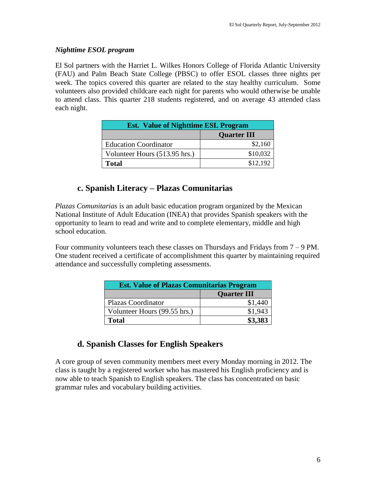#### *Nighttime ESOL program*

El Sol partners with the Harriet L. Wilkes Honors College of Florida Atlantic University (FAU) and Palm Beach State College (PBSC) to offer ESOL classes three nights per week. The topics covered this quarter are related to the stay healthy curriculum. Some volunteers also provided childcare each night for parents who would otherwise be unable to attend class. This quarter 218 students registered, and on average 43 attended class each night.

| <b>Est. Value of Nighttime ESL Program</b> |                    |  |  |  |  |
|--------------------------------------------|--------------------|--|--|--|--|
|                                            | <b>Quarter III</b> |  |  |  |  |
| <b>Education Coordinator</b>               | \$2,160            |  |  |  |  |
| Volunteer Hours (513.95 hrs.)              | \$10,032           |  |  |  |  |
| Total                                      | \$12,192           |  |  |  |  |

### **c. Spanish Literacy – Plazas Comunitarias**

*Plazas Comunitarias* is an adult basic education program organized by the Mexican National Institute of Adult Education (INEA) that provides Spanish speakers with the opportunity to learn to read and write and to complete elementary, middle and high school education.

Four community volunteers teach these classes on Thursdays and Fridays from  $7 - 9$  PM. One student received a certificate of accomplishment this quarter by maintaining required attendance and successfully completing assessments.

| <b>Est. Value of Plazas Comunitarias Program</b> |                    |  |  |  |  |
|--------------------------------------------------|--------------------|--|--|--|--|
|                                                  | <b>Quarter III</b> |  |  |  |  |
| Plazas Coordinator                               | \$1,440            |  |  |  |  |
| Volunteer Hours (99.55 hrs.)                     | \$1,943            |  |  |  |  |
| <b>Total</b>                                     | \$3,383            |  |  |  |  |

## **d. Spanish Classes for English Speakers**

A core group of seven community members meet every Monday morning in 2012. The class is taught by a registered worker who has mastered his English proficiency and is now able to teach Spanish to English speakers. The class has concentrated on basic grammar rules and vocabulary building activities.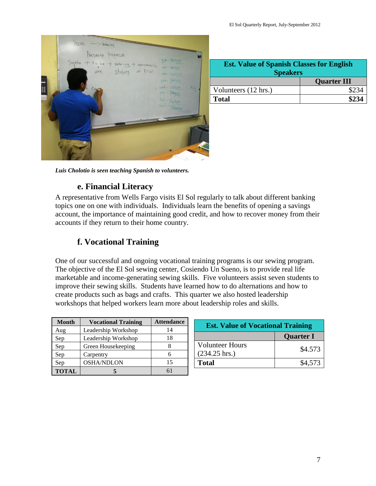

| <b>Est. Value of Spanish Classes for English</b><br><b>Speakers</b> |                    |  |  |  |
|---------------------------------------------------------------------|--------------------|--|--|--|
|                                                                     | <b>Quarter III</b> |  |  |  |
| Volunteers (12 hrs.)                                                | \$234              |  |  |  |
| <b>Total</b>                                                        | \$234              |  |  |  |

*Luis Cholotio is seen teaching Spanish to volunteers.* 

## **e. Financial Literacy**

A representative from Wells Fargo visits El Sol regularly to talk about different banking topics one on one with individuals. Individuals learn the benefits of opening a savings account, the importance of maintaining good credit, and how to recover money from their accounts if they return to their home country.

## **f. Vocational Training**

One of our successful and ongoing vocational training programs is our sewing program. The objective of the El Sol sewing center, Cosiendo Un Sueno, is to provide real life marketable and income-generating sewing skills. Five volunteers assist seven students to improve their sewing skills. Students have learned how to do alternations and how to create products such as bags and crafts. This quarter we also hosted leadership workshops that helped workers learn more about leadership roles and skills.

| <b>Month</b> | <b>Vocational Training</b> | <b>Attendance</b> |
|--------------|----------------------------|-------------------|
| Aug          | Leadership Workshop        | 14                |
| Sep          | Leadership Workshop        | 18                |
| Sep          | Green Housekeeping         |                   |
| Sep          | Carpentry                  |                   |
| Sep          | <b>OSHA/NDLON</b>          | 15                |
| <b>TOTAL</b> |                            |                   |

| <b>Est. Value of Vocational Training</b>          |                  |  |  |  |
|---------------------------------------------------|------------------|--|--|--|
|                                                   | <b>Quarter I</b> |  |  |  |
| <b>Volunteer Hours</b><br>$(234.25 \text{ hrs.})$ | \$4.573          |  |  |  |
| Total                                             | \$4,573          |  |  |  |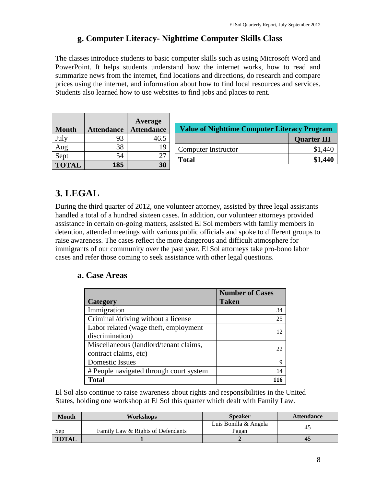### **g. Computer Literacy- Nighttime Computer Skills Class**

The classes introduce students to basic computer skills such as using Microsoft Word and PowerPoint. It helps students understand how the internet works, how to read and summarize news from the internet, find locations and directions, do research and compare prices using the internet, and information about how to find local resources and services. Students also learned how to use websites to find jobs and places to rent.

|              |                   | <b>Average</b>    |  |
|--------------|-------------------|-------------------|--|
| <b>Month</b> | <b>Attendance</b> | <b>Attendance</b> |  |
| July         | 93                | 46.5              |  |
| Aug          | 38                | 19                |  |
| Sept         | 54                | 27                |  |
| <b>TOTAL</b> | 185               | 30                |  |

| <b>Value of Nighttime Computer Literacy Program</b> |                    |  |  |  |
|-----------------------------------------------------|--------------------|--|--|--|
|                                                     | <b>Quarter III</b> |  |  |  |
| Computer Instructor                                 | \$1,440            |  |  |  |
| <b>Total</b>                                        | \$1,440            |  |  |  |

## **3. LEGAL**

During the third quarter of 2012, one volunteer attorney, assisted by three legal assistants handled a total of a hundred sixteen cases. In addition, our volunteer attorneys provided assistance in certain on-going matters, assisted El Sol members with family members in detention, attended meetings with various public officials and spoke to different groups to raise awareness. The cases reflect the more dangerous and difficult atmosphere for immigrants of our community over the past year. El Sol attorneys take pro-bono labor cases and refer those coming to seek assistance with other legal questions.

#### **a. Case Areas**

|                                         | <b>Number of Cases</b> |
|-----------------------------------------|------------------------|
| Category                                | <b>Taken</b>           |
| Immigration                             | 34                     |
| Criminal /driving without a license     | 25                     |
| Labor related (wage theft, employment   |                        |
| discrimination)                         |                        |
| Miscellaneous (landlord/tenant claims,  |                        |
| contract claims, etc)                   |                        |
| <b>Domestic Issues</b>                  | Q                      |
| # People navigated through court system | 14                     |
| <b>Total</b>                            |                        |

El Sol also continue to raise awareness about rights and responsibilities in the United States, holding one workshop at El Sol this quarter which dealt with Family Law.

| <b>Month</b> | <b>Workshops</b>                  | <b>Speaker</b>                 | <b>Attendance</b> |
|--------------|-----------------------------------|--------------------------------|-------------------|
| Sep          | Family Law & Rights of Defendants | Luis Bonilla & Angela<br>Pagan | 45                |
| <b>TOTAL</b> |                                   |                                | 45                |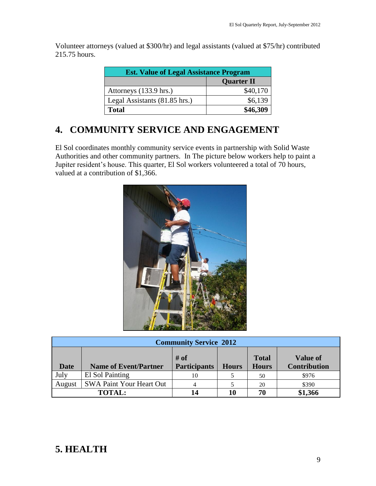Volunteer attorneys (valued at \$300/hr) and legal assistants (valued at \$75/hr) contributed 215.75 hours.

| <b>Est. Value of Legal Assistance Program</b> |          |  |  |  |
|-----------------------------------------------|----------|--|--|--|
| <b>Quarter II</b>                             |          |  |  |  |
| Attorneys (133.9 hrs.)                        | \$40,170 |  |  |  |
| Legal Assistants (81.85 hrs.)                 | \$6,139  |  |  |  |
| <b>Total</b>                                  | \$46,309 |  |  |  |

## **4. COMMUNITY SERVICE AND ENGAGEMENT**

El Sol coordinates monthly community service events in partnership with Solid Waste Authorities and other community partners. In The picture below workers help to paint a Jupiter resident's house. This quarter, El Sol workers volunteered a total of 70 hours, valued at a contribution of \$1,366.



| <b>Community Service 2012</b> |                                 |                             |              |                              |                                        |  |  |
|-------------------------------|---------------------------------|-----------------------------|--------------|------------------------------|----------------------------------------|--|--|
| <b>Date</b>                   | <b>Name of Event/Partner</b>    | # of<br><b>Participants</b> | <b>Hours</b> | <b>Total</b><br><b>Hours</b> | <b>Value of</b><br><b>Contribution</b> |  |  |
| July                          | El Sol Painting                 | 10                          |              | 50                           | \$976                                  |  |  |
| August                        | <b>SWA Paint Your Heart Out</b> |                             |              | 20                           | \$390                                  |  |  |
|                               | <b>TOTAL:</b>                   |                             | 10           | 70                           | \$1,366                                |  |  |

## **5. HEALTH**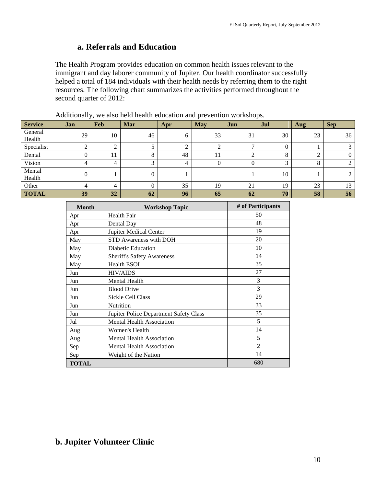### **a. Referrals and Education**

The Health Program provides education on common health issues relevant to the immigrant and day laborer community of Jupiter. Our health coordinator successfully helped a total of 184 individuals with their health needs by referring them to the right resources. The following chart summarizes the activities performed throughout the second quarter of 2012:

| <b>Service</b>    | Jan | <b>Feb</b> | Mar    | Apr | <b>May</b> | Jun                 | Jul     | Aug | <b>Sep</b> |
|-------------------|-----|------------|--------|-----|------------|---------------------|---------|-----|------------|
| General<br>Health | 29  | 10         | 46     | h   | 33         | 31                  | 30      | 23  | 36         |
| Specialist        | ◠   |            |        |     | ◠          | $\overline{ }$      |         |     | 3          |
| Dental            |     |            | 8      | 48  | 11         | ◠<br>$\overline{ }$ | $\circ$ |     | 0          |
| Vision            | 4   | 4          | $\sim$ | 4   | $\Omega$   | $\mathbf{0}$        | $\sim$  | 8   | 2          |
| Mental<br>Health  |     |            | 0      |     |            |                     | 10      |     | 2          |
| Other             | 4   | Δ          |        | 35  | 19         | 21                  | 19      | 23  | 13         |
| <b>TOTAL</b>      | 39  | 32         | 62     | 96  | 65         | 62                  | 70      | 58  | 56         |

|  |  |  |  | Additionally, we also held health education and prevention workshops. |  |  |
|--|--|--|--|-----------------------------------------------------------------------|--|--|
|--|--|--|--|-----------------------------------------------------------------------|--|--|

| <b>Month</b> | <b>Workshop Topic</b>                  | # of Participants |
|--------------|----------------------------------------|-------------------|
| Apr          | Health Fair                            | 50                |
| Apr          | Dental Day                             | 48                |
| Apr          | Jupiter Medical Center                 | 19                |
| May          | STD Awareness with DOH                 | 20                |
| May          | Diabetic Education                     | 10                |
| May          | <b>Sheriff's Safety Awareness</b>      | 14                |
| May          | <b>Health ESOL</b>                     | 35                |
| Jun          | <b>HIV/AIDS</b>                        | 27                |
| Jun          | <b>Mental Health</b>                   | 3                 |
| Jun          | <b>Blood Drive</b>                     | 3                 |
| Jun          | Sickle Cell Class                      | 29                |
| Jun          | Nutrition                              | 33                |
| Jun          | Jupiter Police Department Safety Class | 35                |
| Jul          | <b>Mental Health Association</b>       | 5                 |
| Aug          | Women's Health                         | 14                |
| Aug          | <b>Mental Health Association</b>       | 5                 |
| Sep          | Mental Health Association              | $\mathfrak{D}$    |
| Sep          | Weight of the Nation                   | 14                |
| <b>TOTAL</b> |                                        | 680               |

## **b. Jupiter Volunteer Clinic**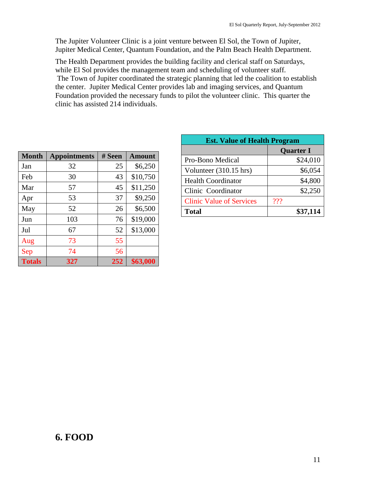The Jupiter Volunteer Clinic is a joint venture between El Sol, the Town of Jupiter, Jupiter Medical Center, Quantum Foundation, and the Palm Beach Health Department.

The Health Department provides the building facility and clerical staff on Saturdays, while El Sol provides the management team and scheduling of volunteer staff. The Town of Jupiter coordinated the strategic planning that led the coalition to establish the center. Jupiter Medical Center provides lab and imaging services, and Quantum Foundation provided the necessary funds to pilot the volunteer clinic. This quarter the clinic has assisted 214 individuals.

| <b>Month</b>  | <b>Appointments</b> | # Seen | <b>Amount</b> |
|---------------|---------------------|--------|---------------|
| Jan           | 32                  | 25     | \$6,250       |
| Feb           | 30                  | 43     | \$10,750      |
| Mar           | 57                  | 45     | \$11,250      |
| Apr           | 53                  | 37     | \$9,250       |
| May           | 52                  | 26     | \$6,500       |
| Jun           | 103                 | 76     | \$19,000      |
| Jul           | 67                  | 52     | \$13,000      |
| Aug           | 73                  | 55     |               |
| Sep           | 74                  | 56     |               |
| <b>Totals</b> | 327                 | 252    | \$63,000      |

| <b>Est. Value of Health Program</b> |                  |  |  |
|-------------------------------------|------------------|--|--|
|                                     | <b>Quarter I</b> |  |  |
| Pro-Bono Medical                    | \$24,010         |  |  |
| Volunteer (310.15 hrs)              | \$6,054          |  |  |
| <b>Health Coordinator</b>           | \$4,800          |  |  |
| Clinic Coordinator                  | \$2,250          |  |  |
| <b>Clinic Value of Services</b>     | ???              |  |  |
| <b>Total</b>                        | \$37,114         |  |  |

## **6. FOOD**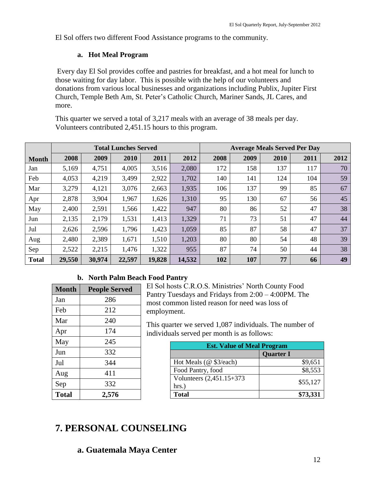El Sol offers two different Food Assistance programs to the community.

#### **a. Hot Meal Program**

Every day El Sol provides coffee and pastries for breakfast, and a hot meal for lunch to those waiting for day labor. This is possible with the help of our volunteers and donations from various local businesses and organizations including Publix, Jupiter First Church, Temple Beth Am, St. Peter's Catholic Church, Mariner Sands, JL Cares, and more.

This quarter we served a total of 3,217 meals with an average of 38 meals per day. Volunteers contributed 2,451.15 hours to this program.

|              | <b>Total Lunches Served</b> |        |        |        |        |      | <b>Average Meals Served Per Day</b> |      |      |      |
|--------------|-----------------------------|--------|--------|--------|--------|------|-------------------------------------|------|------|------|
| <b>Month</b> | 2008                        | 2009   | 2010   | 2011   | 2012   | 2008 | 2009                                | 2010 | 2011 | 2012 |
| Jan          | 5,169                       | 4,751  | 4,005  | 3,516  | 2,080  | 172  | 158                                 | 137  | 117  | 70   |
| Feb          | 4,053                       | 4,219  | 3,499  | 2,922  | 1,702  | 140  | 141                                 | 124  | 104  | 59   |
| Mar          | 3,279                       | 4,121  | 3,076  | 2,663  | 1,935  | 106  | 137                                 | 99   | 85   | 67   |
| Apr          | 2,878                       | 3,904  | 1,967  | 1,626  | 1,310  | 95   | 130                                 | 67   | 56   | 45   |
| May          | 2,400                       | 2,591  | 1,566  | 1,422  | 947    | 80   | 86                                  | 52   | 47   | 38   |
| Jun          | 2,135                       | 2,179  | 1,531  | 1,413  | 1,329  | 71   | 73                                  | 51   | 47   | 44   |
| Jul          | 2,626                       | 2,596  | 1,796  | 1,423  | 1,059  | 85   | 87                                  | 58   | 47   | 37   |
| Aug          | 2,480                       | 2,389  | 1,671  | 1,510  | 1,203  | 80   | 80                                  | 54   | 48   | 39   |
| Sep          | 2,522                       | 2,215  | 1,476  | 1,322  | 955    | 87   | 74                                  | 50   | 44   | 38   |
| <b>Total</b> | 29,550                      | 30,974 | 22,597 | 19,828 | 14,532 | 102  | 107                                 | 77   | 66   | 49   |

#### **b. North Palm Beach Food Pantry**

| <b>Month</b> | <b>People Served</b> |
|--------------|----------------------|
| Jan          | 286                  |
| Feb          | 212                  |
| Mar          | 240                  |
| Apr          | 174                  |
| May          | 245                  |
| Jun          | 332                  |
| Jul          | 344                  |
| Aug          | 411                  |
| Sep          | 332                  |
| <b>Total</b> | 2,576                |

El Sol hosts C.R.O.S. Ministries' North County Food Pantry Tuesdays and Fridays from 2:00 – 4:00PM. The most common listed reason for need was loss of employment.

This quarter we served 1,087 individuals. The number of individuals served per month is as follows:

| <b>Est. Value of Meal Program</b>  |                  |  |  |
|------------------------------------|------------------|--|--|
|                                    | <b>Quarter I</b> |  |  |
| Hot Meals (@ \$3/each)             | \$9,651          |  |  |
| Food Pantry, food                  | \$8,553          |  |  |
| Volunteers (2,451.15+373)<br>hrs.) | \$55,127         |  |  |
| <b>Total</b>                       | \$73,331         |  |  |

## **7. PERSONAL COUNSELING**

## **a. Guatemala Maya Center**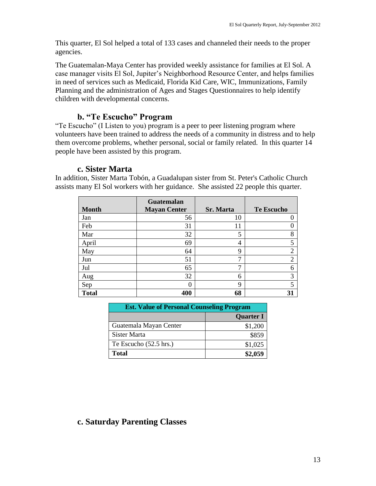This quarter, El Sol helped a total of 133 cases and channeled their needs to the proper agencies.

The Guatemalan-Maya Center has provided weekly assistance for families at El Sol. A case manager visits El Sol, Jupiter's Neighborhood Resource Center, and helps families in need of services such as Medicaid, Florida Kid Care, WIC, Immunizations, Family Planning and the administration of Ages and Stages Questionnaires to help identify children with developmental concerns.

### **b. "Te Escucho" Program**

"Te Escucho" (I Listen to you) program is a peer to peer listening program where volunteers have been trained to address the needs of a community in distress and to help them overcome problems, whether personal, social or family related. In this quarter 14 people have been assisted by this program.

#### **c. Sister Marta**

In addition, Sister Marta Tobón, a Guadalupan sister from St. Peter's Catholic Church assists many El Sol workers with her guidance. She assisted 22 people this quarter.

| <b>Month</b> | <b>Guatemalan</b><br><b>Mayan Center</b> | <b>Sr. Marta</b> | <b>Te Escucho</b> |
|--------------|------------------------------------------|------------------|-------------------|
| Jan          | 56                                       | 10               | $\theta$          |
| Feb          | 31                                       | 11               | $\theta$          |
| Mar          | 32                                       | 5                | 8                 |
| April        | 69                                       | 4                | 5                 |
| May          | 64                                       | 9                | $\overline{2}$    |
| Jun          | 51                                       | 7                | $\overline{2}$    |
| Jul          | 65                                       | ⇁                | 6                 |
| Aug          | 32                                       | 6                | 3                 |
| Sep          | 0                                        | 9                | 5                 |
| <b>Total</b> | 400                                      | 68               | 31                |

| <b>Est. Value of Personal Counseling Program</b> |                  |  |  |
|--------------------------------------------------|------------------|--|--|
|                                                  | <b>Quarter I</b> |  |  |
| Guatemala Mayan Center                           | \$1,200          |  |  |
| Sister Marta                                     | \$859            |  |  |
| Te Escucho $(52.5 \text{ hrs.})$                 | \$1,025          |  |  |
| <b>Total</b>                                     | \$2,059          |  |  |

### **c. Saturday Parenting Classes**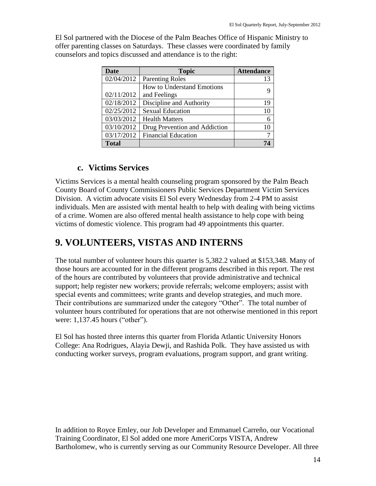El Sol partnered with the Diocese of the Palm Beaches Office of Hispanic Ministry to offer parenting classes on Saturdays. These classes were coordinated by family counselors and topics discussed and attendance is to the right:

| Date         | <b>Topic</b>                      | <b>Attendance</b> |
|--------------|-----------------------------------|-------------------|
| 02/04/2012   | <b>Parenting Roles</b>            | 13                |
|              | <b>How to Understand Emotions</b> |                   |
| 02/11/2012   | and Feelings                      |                   |
| 02/18/2012   | Discipline and Authority          | 19                |
| 02/25/2012   | <b>Sexual Education</b>           | 10                |
| 03/03/2012   | <b>Health Matters</b>             | 6                 |
| 03/10/2012   | Drug Prevention and Addiction     | 10                |
| 03/17/2012   | <b>Financial Education</b>        |                   |
| <b>Total</b> |                                   |                   |

#### **c. Victims Services**

Victims Services is a mental health counseling program sponsored by the Palm Beach County Board of County Commissioners Public Services Department Victim Services Division. A victim advocate visits El Sol every Wednesday from 2-4 PM to assist individuals. Men are assisted with mental health to help with dealing with being victims of a crime. Women are also offered mental health assistance to help cope with being victims of domestic violence. This program had 49 appointments this quarter.

## **9. VOLUNTEERS, VISTAS AND INTERNS**

The total number of volunteer hours this quarter is 5,382.2 valued at \$153,348. Many of those hours are accounted for in the different programs described in this report. The rest of the hours are contributed by volunteers that provide administrative and technical support; help register new workers; provide referrals; welcome employers; assist with special events and committees; write grants and develop strategies, and much more. Their contributions are summarized under the category "Other". The total number of volunteer hours contributed for operations that are not otherwise mentioned in this report were: 1,137.45 hours ("other").

El Sol has hosted three interns this quarter from Florida Atlantic University Honors College: Ana Rodrigues, Alayia Dewji, and Rashida Polk. They have assisted us with conducting worker surveys, program evaluations, program support, and grant writing.

In addition to Royce Emley, our Job Developer and Emmanuel Carreño, our Vocational Training Coordinator, El Sol added one more AmeriCorps VISTA, Andrew Bartholomew, who is currently serving as our Community Resource Developer. All three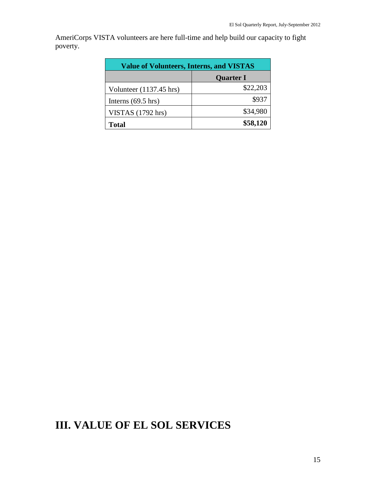AmeriCorps VISTA volunteers are here full-time and help build our capacity to fight poverty.

| <b>Value of Volunteers, Interns, and VISTAS</b> |                  |  |  |
|-------------------------------------------------|------------------|--|--|
|                                                 | <b>Quarter I</b> |  |  |
| Volunteer $(1137.45 \text{ hrs})$               | \$22,203         |  |  |
| Interns $(69.5 \text{ hrs})$                    | \$937            |  |  |
| VISTAS $(1792 \text{ hrs})$                     | \$34,980         |  |  |
| <b>Total</b>                                    | \$58,120         |  |  |

# **III. VALUE OF EL SOL SERVICES**